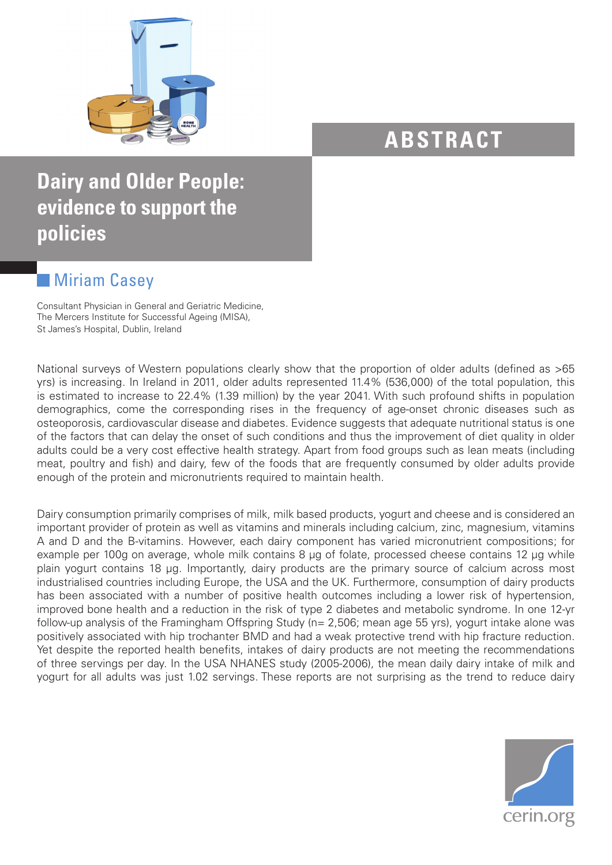

## **ABSTRACT**

## **Dairy and Older People: evidence to support the policies**

## **Miriam Casey**

Consultant Physician in General and Geriatric Medicine, The Mercers Institute for Successful Ageing (MISA), St James's Hospital, Dublin, Ireland

National surveys of Western populations clearly show that the proportion of older adults (defined as >65 yrs) is increasing. In Ireland in 2011, older adults represented 11.4% (536,000) of the total population, this is estimated to increase to 22.4% (1.39 million) by the year 2041. With such profound shifts in population demographics, come the corresponding rises in the frequency of age-onset chronic diseases such as osteoporosis, cardiovascular disease and diabetes. Evidence suggests that adequate nutritional status is one of the factors that can delay the onset of such conditions and thus the improvement of diet quality in older adults could be a very cost effective health strategy. Apart from food groups such as lean meats (including meat, poultry and fish) and dairy, few of the foods that are frequently consumed by older adults provide enough of the protein and micronutrients required to maintain health.

Dairy consumption primarily comprises of milk, milk based products, yogurt and cheese and is considered an important provider of protein as well as vitamins and minerals including calcium, zinc, magnesium, vitamins A and D and the B-vitamins. However, each dairy component has varied micronutrient compositions; for example per 100g on average, whole milk contains 8 µg of folate, processed cheese contains 12 µg while plain yogurt contains 18 µg. Importantly, dairy products are the primary source of calcium across most industrialised countries including Europe, the USA and the UK. Furthermore, consumption of dairy products has been associated with a number of positive health outcomes including a lower risk of hypertension, improved bone health and a reduction in the risk of type 2 diabetes and metabolic syndrome. In one 12-yr follow-up analysis of the Framingham Offspring Study (n= 2,506; mean age 55 yrs), yogurt intake alone was positively associated with hip trochanter BMD and had a weak protective trend with hip fracture reduction. Yet despite the reported health benefits, intakes of dairy products are not meeting the recommendations of three servings per day. In the USA NHANES study (2005-2006), the mean daily dairy intake of milk and yogurt for all adults was just 1.02 servings. These reports are not surprising as the trend to reduce dairy